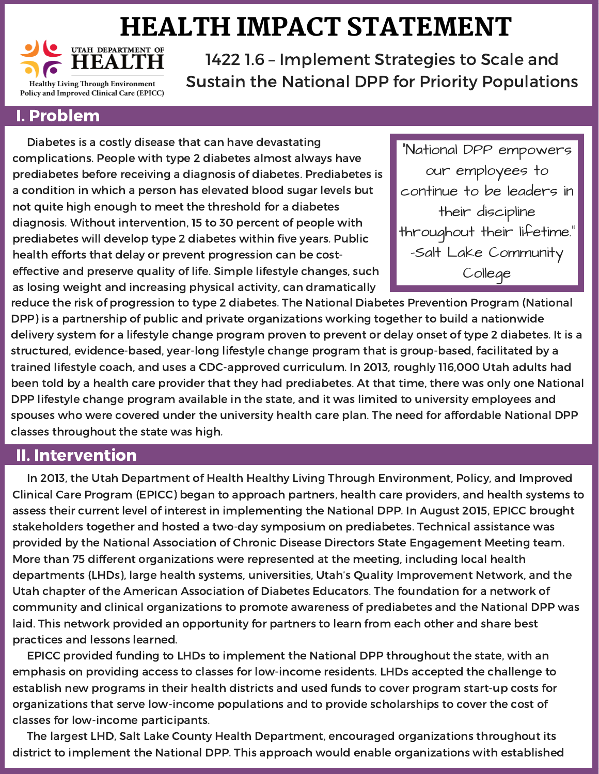## HEALTH IMPACT STATEMENT



1422 1.6 – Implement Strategies to Scale and Sustain the National DPP for Priority Populations

## I. Problem

Diabetes is a costly disease that can have devastating complications. People with type 2 diabetes almost always have prediabetes before receiving a diagnosis of diabetes. Prediabetes is a condition in which a person has elevated blood sugar levels but not quite high enough to meet the threshold for a diabetes diagnosis. Without intervention, 15 to 30 percent of people with prediabetes will develop type 2 diabetes within five years. Public health efforts that delay or prevent progression can be costeffective and preserve quality of life. Simple lifestyle changes, such as losing weight and increasing physical activity, can dramatically

"National DPP empowers our employees to continue to be leaders in their discipline throughout their lifetime." -Salt Lake Community College

reduce the risk of progression to type 2 diabetes. The National Diabetes Prevention Program (National DPP) is a partnership of public and private organizations working together to build a nationwide delivery system for a lifestyle change program proven to prevent or delay onset of type 2 diabetes. It is a structured, evidence-based, year-long lifestyle change program that is group-based, facilitated by a trained lifestyle coach, and uses a CDC-approved curriculum. In 2013, roughly 116,000 Utah adults had been told by a health care provider that they had prediabetes. At that time, there was only one National DPP lifestyle change program available in the state, and it was limited to university employees and spouses who were covered under the university health care plan. The need for affordable National DPP classes throughout the state was high.

## II. Intervention

In 2013, the Utah Department of Health Healthy Living Through Environment, Policy, and Improved Clinical Care Program (EPICC) began to approach partners, health care providers, and health systems to assess their current level of interest in implementing the National DPP. In August 2015, EPICC brought stakeholders together and hosted a two-day symposium on prediabetes. Technical assistance was provided by the National Association of Chronic Disease Directors State Engagement Meeting team. More than 75 different organizations were represented at the meeting, including local health departments (LHDs), large health systems, universities, Utah's Quality Improvement Network, and the Utah chapter of the American Association of Diabetes Educators. The foundation for a network of community and clinical organizations to promote awareness of prediabetes and the National DPP was laid. This network provided an opportunity for partners to learn from each other and share best practices and lessons learned.

EPICC provided funding to LHDs to implement the National DPP throughout the state, with an emphasis on providing access to classes for low-income residents. LHDs accepted the challenge to establish new programs in their health districts and used funds to cover program start-up costs for organizations that serve low-income populations and to provide scholarships to cover the cost of classes for low-income participants.

The largest LHD, Salt Lake County Health Department, encouraged organizations throughout its district to implement the National DPP. This approach would enable organizations with established